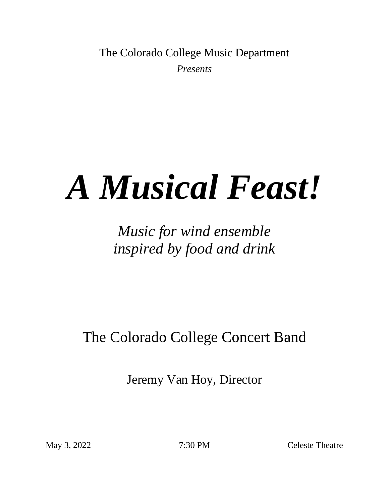The Colorado College Music Department *Presents*

# *A Musical Feast!*

# *Music for wind ensemble inspired by food and drink*

# The Colorado College Concert Band

Jeremy Van Hoy, Director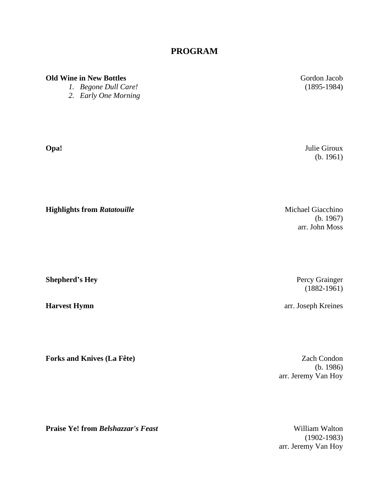## **PROGRAM**

#### **Old Wine in New Bottles** Gordon Jacob

- *1. Begone Dull Care!* (1895-1984)
- *2. Early One Morning*

**Opa!** Julie Giroux

**Highlights from** *Ratatouille* Michael Giacchino

**Shepherd's Hey** Percy Grainger

**Forks and Knives (La Fête)** Zach Condon

**Praise Ye! from** *Belshazzar's Feast* William Walton

(b. 1967)

arr. John Moss

(1882-1961)

**Harvest Hymn** arr. Joseph Kreines

(b. 1986) arr. Jeremy Van Hoy

(1902-1983) arr. Jeremy Van Hoy

(b. 1961)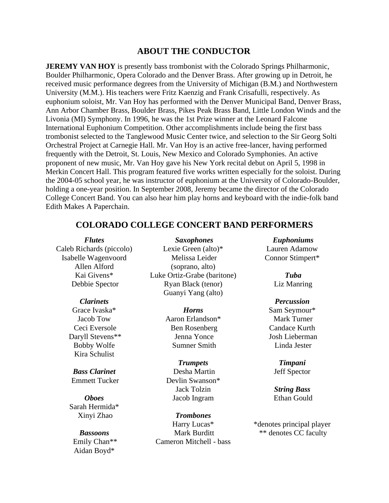## **ABOUT THE CONDUCTOR**

**JEREMY VAN HOY** is presently bass trombonist with the Colorado Springs Philharmonic, Boulder Philharmonic, Opera Colorado and the Denver Brass. After growing up in Detroit, he received music performance degrees from the University of Michigan (B.M.) and Northwestern University (M.M.). His teachers were Fritz Kaenzig and Frank Crisafulli, respectively. As euphonium soloist, Mr. Van Hoy has performed with the Denver Municipal Band, Denver Brass, Ann Arbor Chamber Brass, Boulder Brass, Pikes Peak Brass Band, Little London Winds and the Livonia (MI) Symphony. In 1996, he was the 1st Prize winner at the Leonard Falcone International Euphonium Competition. Other accomplishments include being the first bass trombonist selected to the Tanglewood Music Center twice, and selection to the Sir Georg Solti Orchestral Project at Carnegie Hall. Mr. Van Hoy is an active free-lancer, having performed frequently with the Detroit, St. Louis, New Mexico and Colorado Symphonies. An active proponent of new music, Mr. Van Hoy gave his New York recital debut on April 5, 1998 in Merkin Concert Hall. This program featured five works written especially for the soloist. During the 2004-05 school year, he was instructor of euphonium at the University of Colorado-Boulder, holding a one-year position. In September 2008, Jeremy became the director of the Colorado College Concert Band. You can also hear him play horns and keyboard with the indie-folk band Edith Makes A Paperchain.

## **COLORADO COLLEGE CONCERT BAND PERFORMERS**

*Flutes*

Caleb Richards (piccolo) Isabelle Wagenvoord Allen Alford Kai Givens\* Debbie Spector

#### *Clarinets*

Grace Ivaska\* Jacob Tow Ceci Eversole Daryll Stevens\*\* Bobby Wolfe Kira Schulist

*Bass Clarinet* Emmett Tucker

*Oboes* Sarah Hermida\* Xinyi Zhao

*Bassoons* Emily Chan\*\* Aidan Boyd\*

*Saxophones* Lexie Green (alto)\* Melissa Leider (soprano, alto) Luke Ortiz-Grabe (baritone) Ryan Black (tenor) Guanyi Yang (alto)

> *Horns* Aaron Erlandson\* Ben Rosenberg Jenna Yonce Sumner Smith

*Trumpets* Desha Martin Devlin Swanson\* Jack Tolzin Jacob Ingram

*Trombones* Harry Lucas\* Mark Burditt Cameron Mitchell - bass

*Euphoniums* Lauren Adamow Connor Stimpert\*

> *Tuba* Liz Manring

*Percussion* Sam Seymour\* Mark Turner Candace Kurth Josh Lieberman Linda Jester

> *Timpani* Jeff Spector

*String Bass* Ethan Gould

\*denotes principal player \*\* denotes CC faculty